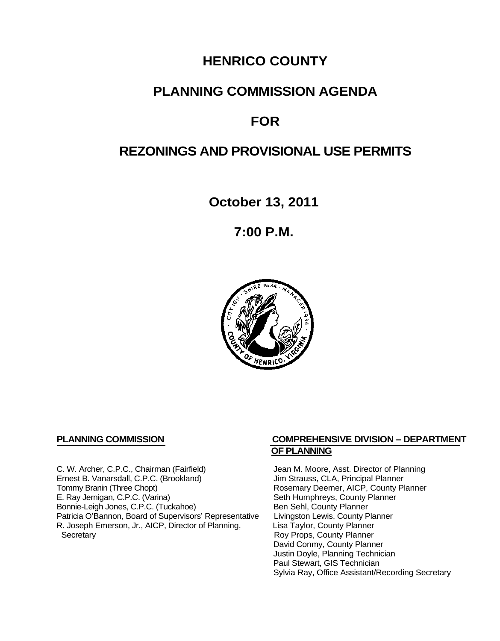# **HENRICO COUNTY**

# **PLANNING COMMISSION AGENDA**

# **FOR**

# **REZONINGS AND PROVISIONAL USE PERMITS**

**October 13, 2011**

**7:00 P.M.**



C. W. Archer, C.P.C., Chairman (Fairfield) Jean M. Moore, Asst. Director of Planning<br>
Ernest B. Vanarsdall, C.P.C. (Brookland) Jim Strauss, CLA, Principal Planner Ernest B. Vanarsdall, C.P.C. (Brookland)<br>Tommy Branin (Three Chopt) Tommy Branin (Three Chopt)<br>
E. Ray Jernigan, C.P.C. (Varina) Seth Humphreys, County Planner E. Ray Jernigan, C.P.C. (Varina) Bonnie-Leigh Jones, C.P.C. (Tuckahoe) Ben Sehl, County Planner<br>Patricia O'Bannon, Board of Supervisors' Representative Livingston Lewis, County Planner Patricia O'Bannon, Board of Supervisors' Representative Livingston Lewis, County Planner<br>R. Joseph Emerson, Jr., AICP, Director of Planning, Lisa Taylor, County Planner R. Joseph Emerson, Jr., AICP, Director of Planning, Secretary

### **PLANNING COMMISSION COMPREHENSIVE DIVISION – DEPARTMENT OF PLANNING**

Seth Humphreys, County Planner<br>Ben Sehl, County Planner Roy Props, County Planner David Conmy, County Planner Justin Doyle, Planning Technician Paul Stewart, GIS Technician Sylvia Ray, Office Assistant/Recording Secretary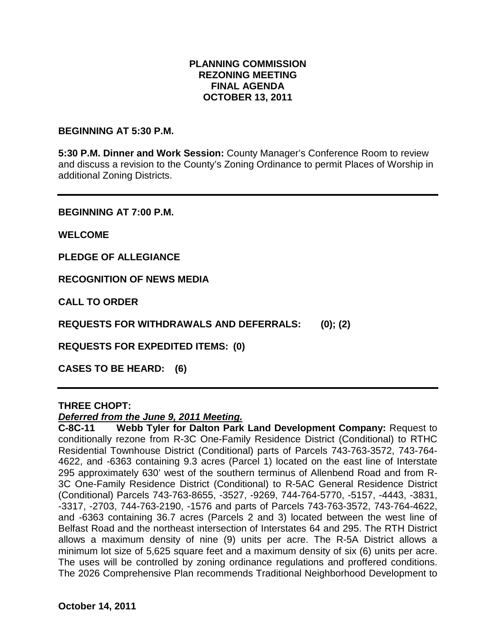# **PLANNING COMMISSION REZONING MEETING FINAL AGENDA OCTOBER 13, 2011**

### **BEGINNING AT 5:30 P.M.**

**5:30 P.M. Dinner and Work Session:** County Manager's Conference Room to review and discuss a revision to the County's Zoning Ordinance to permit Places of Worship in additional Zoning Districts.

**BEGINNING AT 7:00 P.M.**

**WELCOME**

**PLEDGE OF ALLEGIANCE**

**RECOGNITION OF NEWS MEDIA**

**CALL TO ORDER**

**REQUESTS FOR WITHDRAWALS AND DEFERRALS: (0); (2)**

**REQUESTS FOR EXPEDITED ITEMS: (0)**

**CASES TO BE HEARD: (6)**

#### **THREE CHOPT:**

#### *Deferred from the June 9, 2011 Meeting.*

**C-8C-11 Webb Tyler for Dalton Park Land Development Company:** Request to conditionally rezone from R-3C One-Family Residence District (Conditional) to RTHC Residential Townhouse District (Conditional) parts of Parcels 743-763-3572, 743-764- 4622, and -6363 containing 9.3 acres (Parcel 1) located on the east line of Interstate 295 approximately 630' west of the southern terminus of Allenbend Road and from R-3C One-Family Residence District (Conditional) to R-5AC General Residence District (Conditional) Parcels 743-763-8655, -3527, -9269, 744-764-5770, -5157, -4443, -3831, -3317, -2703, 744-763-2190, -1576 and parts of Parcels 743-763-3572, 743-764-4622, and -6363 containing 36.7 acres (Parcels 2 and 3) located between the west line of Belfast Road and the northeast intersection of Interstates 64 and 295. The RTH District allows a maximum density of nine (9) units per acre. The R-5A District allows a minimum lot size of 5,625 square feet and a maximum density of six (6) units per acre. The uses will be controlled by zoning ordinance regulations and proffered conditions. The 2026 Comprehensive Plan recommends Traditional Neighborhood Development to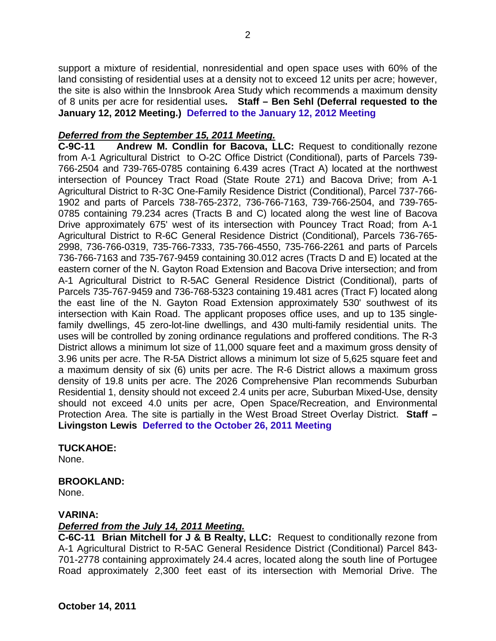support a mixture of residential, nonresidential and open space uses with 60% of the land consisting of residential uses at a density not to exceed 12 units per acre; however, the site is also within the Innsbrook Area Study which recommends a maximum density of 8 units per acre for residential uses**. Staff – Ben Sehl (Deferral requested to the January 12, 2012 Meeting.) Deferred to the January 12, 2012 Meeting**

# *Deferred from the September 15, 2011 Meeting.*

**C-9C-11 Andrew M. Condlin for Bacova, LLC:** Request to conditionally rezone from A-1 Agricultural District to O-2C Office District (Conditional), parts of Parcels 739- 766-2504 and 739-765-0785 containing 6.439 acres (Tract A) located at the northwest intersection of Pouncey Tract Road (State Route 271) and Bacova Drive; from A-1 Agricultural District to R-3C One-Family Residence District (Conditional), Parcel 737-766- 1902 and parts of Parcels 738-765-2372, 736-766-7163, 739-766-2504, and 739-765- 0785 containing 79.234 acres (Tracts B and C) located along the west line of Bacova Drive approximately 675' west of its intersection with Pouncey Tract Road; from A-1 Agricultural District to R-6C General Residence District (Conditional), Parcels 736-765- 2998, 736-766-0319, 735-766-7333, 735-766-4550, 735-766-2261 and parts of Parcels 736-766-7163 and 735-767-9459 containing 30.012 acres (Tracts D and E) located at the eastern corner of the N. Gayton Road Extension and Bacova Drive intersection; and from A-1 Agricultural District to R-5AC General Residence District (Conditional), parts of Parcels 735-767-9459 and 736-768-5323 containing 19.481 acres (Tract F) located along the east line of the N. Gayton Road Extension approximately 530' southwest of its intersection with Kain Road. The applicant proposes office uses, and up to 135 singlefamily dwellings, 45 zero-lot-line dwellings, and 430 multi-family residential units. The uses will be controlled by zoning ordinance regulations and proffered conditions. The R-3 District allows a minimum lot size of 11,000 square feet and a maximum gross density of 3.96 units per acre. The R-5A District allows a minimum lot size of 5,625 square feet and a maximum density of six (6) units per acre. The R-6 District allows a maximum gross density of 19.8 units per acre. The 2026 Comprehensive Plan recommends Suburban Residential 1, density should not exceed 2.4 units per acre, Suburban Mixed-Use, density should not exceed 4.0 units per acre, Open Space/Recreation, and Environmental Protection Area. The site is partially in the West Broad Street Overlay District. **Staff – Livingston Lewis Deferred to the October 26, 2011 Meeting**

#### **TUCKAHOE:**

None.

# **BROOKLAND:**

None.

# **VARINA:**

# *Deferred from the July 14, 2011 Meeting.*

**C-6C-11 Brian Mitchell for J & B Realty, LLC:** Request to conditionally rezone from A-1 Agricultural District to R-5AC General Residence District (Conditional) Parcel 843- 701-2778 containing approximately 24.4 acres, located along the south line of Portugee Road approximately 2,300 feet east of its intersection with Memorial Drive. The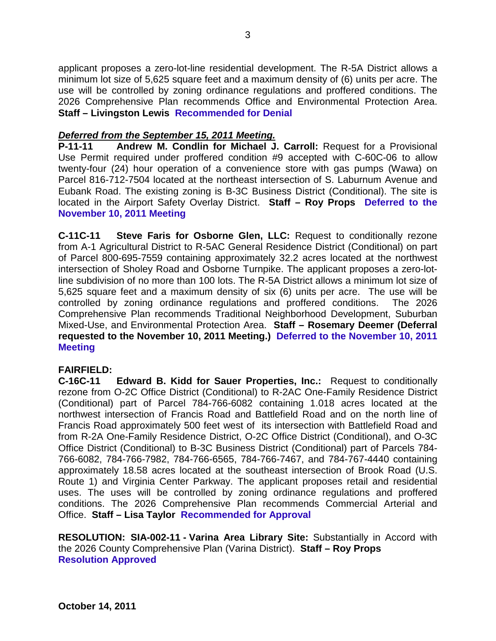applicant proposes a zero-lot-line residential development. The R-5A District allows a minimum lot size of 5,625 square feet and a maximum density of (6) units per acre. The use will be controlled by zoning ordinance regulations and proffered conditions. The 2026 Comprehensive Plan recommends Office and Environmental Protection Area. **Staff – Livingston Lewis Recommended for Denial**

# *Deferred from the September 15, 2011 Meeting.*

**P-11-11 Andrew M. Condlin for Michael J. Carroll:** Request for a Provisional Use Permit required under proffered condition #9 accepted with C-60C-06 to allow twenty-four (24) hour operation of a convenience store with gas pumps (Wawa) on Parcel 816-712-7504 located at the northeast intersection of S. Laburnum Avenue and Eubank Road. The existing zoning is B-3C Business District (Conditional). The site is located in the Airport Safety Overlay District. **Staff – Roy Props Deferred to the November 10, 2011 Meeting**

**C-11C-11 Steve Faris for Osborne Glen, LLC:** Request to conditionally rezone from A-1 Agricultural District to R-5AC General Residence District (Conditional) on part of Parcel 800-695-7559 containing approximately 32.2 acres located at the northwest intersection of Sholey Road and Osborne Turnpike. The applicant proposes a zero-lotline subdivision of no more than 100 lots. The R-5A District allows a minimum lot size of 5,625 square feet and a maximum density of six (6) units per acre. The use will be controlled by zoning ordinance regulations and proffered conditions. The 2026 Comprehensive Plan recommends Traditional Neighborhood Development, Suburban Mixed-Use, and Environmental Protection Area. **Staff – Rosemary Deemer (Deferral requested to the November 10, 2011 Meeting.) Deferred to the November 10, 2011 Meeting**

# **FAIRFIELD:**

**C-16C-11 Edward B. Kidd for Sauer Properties, Inc.:** Request to conditionally rezone from O-2C Office District (Conditional) to R-2AC One-Family Residence District (Conditional) part of Parcel 784-766-6082 containing 1.018 acres located at the northwest intersection of Francis Road and Battlefield Road and on the north line of Francis Road approximately 500 feet west of its intersection with Battlefield Road and from R-2A One-Family Residence District, O-2C Office District (Conditional), and O-3C Office District (Conditional) to B-3C Business District (Conditional) part of Parcels 784- 766-6082, 784-766-7982, 784-766-6565, 784-766-7467, and 784-767-4440 containing approximately 18.58 acres located at the southeast intersection of Brook Road (U.S. Route 1) and Virginia Center Parkway. The applicant proposes retail and residential uses. The uses will be controlled by zoning ordinance regulations and proffered conditions. The 2026 Comprehensive Plan recommends Commercial Arterial and Office. **Staff – Lisa Taylor Recommended for Approval**

**RESOLUTION: SIA-002-11 - Varina Area Library Site:** Substantially in Accord with the 2026 County Comprehensive Plan (Varina District). **Staff – Roy Props Resolution Approved**